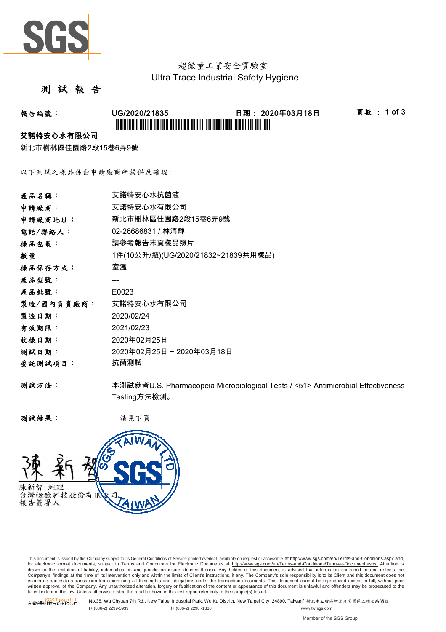

# 超微量工業安全實驗室 Ultra Trace Industrial Safety Hygiene

## 測 試 報 告

## 報告編號: UG/2020/21835 日期: 2020年03月18日 頁數 : 1 of 3 \*UG/2020/21835\*

#### 艾諾特安心水有限公司

新北市樹林區佳園路2段15巷6弄9號

以下測試之樣品係由申請廠商所提供及確認:

| 產品名稱:      | 艾諾特安心水抗菌液                                                                       |
|------------|---------------------------------------------------------------------------------|
| 申請廠商:      | 艾諾特安心水有限公司                                                                      |
| 申請廠商地址:    | 新北市樹林區佳園路2段15巷6弄9號                                                              |
| 電話/聯絡人:    | 02-26686831 / 林清輝                                                               |
| 樣品包裝:      | 請參考報告末頁樣品照片                                                                     |
| 數量:        | 1件(10公升/瓶)(UG/2020/21832~21839共用樣品)                                             |
| 樣品保存方式:    | 室溫                                                                              |
| 產品型號:      |                                                                                 |
| 產品批號:      | E0023                                                                           |
| 製造/國內負責廠商: | 艾諾特安心水有限公司                                                                      |
| 製造日期:      | 2020/02/24                                                                      |
| 有效期限:      | 2021/02/23                                                                      |
| 收樣日期:      | 2020年02月25日                                                                     |
| 测試日期:      | 2020年02月25日~2020年03月18日                                                         |
| 委託測試項目:    | 抗菌測試                                                                            |
| 测試方法:      | 本測試參考U.S. Pharmacopeia Microbiological Tests / <51> Antimicrobial Effectiveness |
|            | Testing方法檢測。                                                                    |

测試結果: - 請見下頁 -



This document is issued by the Company subject to its General Conditions of Service printed overleaf, available on request or accessible at http://www.sgs.com/en/Terms-and-Conditions.aspx and, for electronic format documents, subject to Terms and Conditions for Electronic Documents at <u>http://www.sqs.com/en/Terms-and-Conditions/Terms-e-Document.aspx.</u> Attention is<br>drawn to the limitation of liability, indemnific exonerate parties to a transaction from exercising all their rights and obligations under the transaction documents. This document cannot be reproduced except in full, without prior prior<br>written approval of the Company. A

SGS Taiwan Ltd. No.38, Wu Chyuan 7th Rd., New Taipei Industrial Park, Wu Ku District, New Taipei City, 24890, Taiwan/ 新北市五股區新北產業園區五權七路38號<br>| t+ (886-2) 2299-3939 f+ (886-2) 2298 -1338 www.tw. t+ (886-2) 2299-3939 f+ (886-2) 2298 -1338 www.tw.sgs.com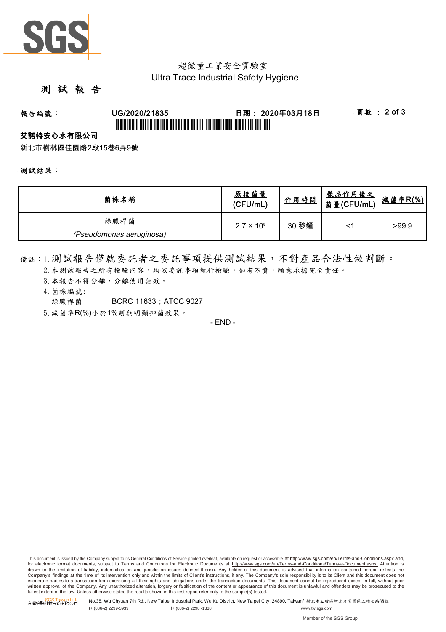

## 超微量工業安全實驗室 Ultra Trace Industrial Safety Hygiene

## 測 試 報 告

# 報告編號: UG/2020/21835 日期: 2020年03月18日 頁數 : 2 of 3 \*UGBIT INDIVI ABI I II IID NON BANA NAN ABIN I II IIB NABI IIBBI IBIBI INDI BIN IBBI

#### 艾諾特安心水有限公司

新北市樹林區佳園路2段15巷6弄9號

#### 測試結果:

| 菌株名稱                     | 原接菌量<br>(CFU/mL)    | 作用時間  | <u>樣品作用後之</u><br>菌量(CFU/mL) | 减菌率R(%) |
|--------------------------|---------------------|-------|-----------------------------|---------|
| 綠膿桿菌                     | $2.7 \times 10^{5}$ | 30 秒鐘 | <'                          | >99.9   |
| (Pseudomonas aeruginosa) |                     |       |                             |         |

備註:1.測試報告僅就委託者之委託事項提供測試結果,不對產品合法性做判斷。

- 2. 本測試報告之所有檢驗內容,均依委託事項執行檢驗,如有不實,願意承擔完全責任。
- 3. 本報告不得分離,分離使用無效。
- 4.菌株編號:
	- 綠膿桿菌 BCRC 11633 : ATCC 9027
- 5.減菌率R(%)小於1%則無明顯抑菌效果。

- END -

This document is issued by the Company subject to its General Conditions of Service printed overleaf, available on request or accessible at http://www.sqs.com/en/Terms-and-Conditions.aspx and, for electronic format documents, subject to Terms and Conditions for Electronic Documents at http://www.sgs.com/en/Terms-and-Conditions/Terms-e-Document.aspx. Attention is drawn to the limitation of liability, indemnification and jurisdiction issues defined therein. Any holder of this document is advised that information contained hereon reflects the<br>Company's findings at the time of its int exonerate parties to a transaction from exercising all their rights and obligations under the transaction documents. This document cannot be reproduced except in full, without prior written approval of the Company. Any unauthorized alteration, forgery or falsification of the content or appearance of this document is unlawful and offenders may be prosecuted to the<br>fullest extent of the law. Unless othe